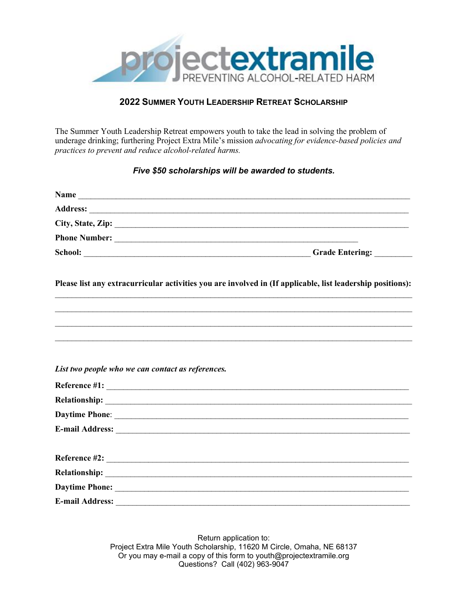

## **2022 SUMMER YOUTH LEADERSHIP RETREAT SCHOLARSHIP**

The Summer Youth Leadership Retreat empowers youth to take the lead in solving the problem of underage drinking; furthering Project Extra Mile's mission *advocating for evidence-based policies and practices to prevent and reduce alcohol-related harms.* 

## *Five \$50 scholarships will be awarded to students.*

| Please list any extracurricular activities you are involved in (If applicable, list leadership positions):<br>,我们也不能在这里的人,我们也不能在这里的人,我们也不能在这里的人,我们也不能在这里的人,我们也不能在这里的人,我们也不能在这里的人,我们也不能在这里的人,我们也<br>List two people who we can contact as references.<br>$Reference$ #2: |  |
|-------------------------------------------------------------------------------------------------------------------------------------------------------------------------------------------------------------------------------------------------------------------------|--|
|                                                                                                                                                                                                                                                                         |  |
|                                                                                                                                                                                                                                                                         |  |
|                                                                                                                                                                                                                                                                         |  |
|                                                                                                                                                                                                                                                                         |  |
|                                                                                                                                                                                                                                                                         |  |
|                                                                                                                                                                                                                                                                         |  |
|                                                                                                                                                                                                                                                                         |  |
|                                                                                                                                                                                                                                                                         |  |
|                                                                                                                                                                                                                                                                         |  |
|                                                                                                                                                                                                                                                                         |  |
|                                                                                                                                                                                                                                                                         |  |
|                                                                                                                                                                                                                                                                         |  |
|                                                                                                                                                                                                                                                                         |  |
|                                                                                                                                                                                                                                                                         |  |

Return application to: Project Extra Mile Youth Scholarship, 11620 M Circle, Omaha, NE 68137 Or you may e-mail a copy of this form to youth@projectextramile.org Questions? Call (402) 963-9047